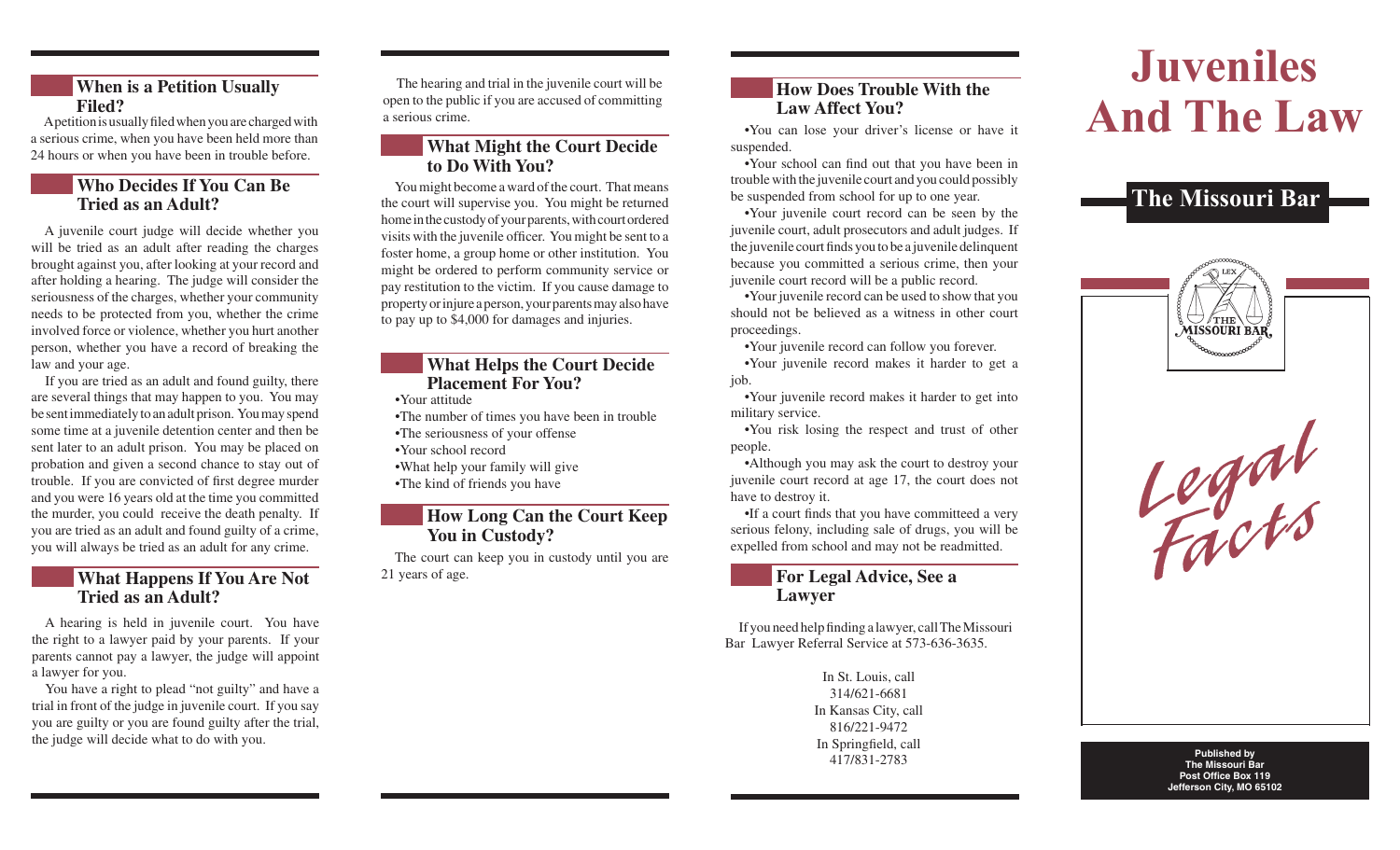# **When is a Petition Usually Filed?**

A petition is usually filed when you are charged with a serious crime, when you have been held more than 24 hours or when you have been in trouble before.

# **Tried as an Adult?**

A juvenile court judge will decide whether you will be tried as an adult after reading the charges brought against you, after looking at your record and after holding a hearing. The judge will consider the seriousness of the charges, whether your community needs to be protected from you, whether the crime involved force or violence, whether you hurt another person, whether you have a record of breaking the law and your age.

If you are tried as an adult and found guilty, there are several things that may happen to you. You may be sent immediately to an adult prison. You may spend some time at a juvenile detention center and then be sent later to an adult prison. You may be placed on probation and given a second chance to stay out of trouble. If you are convicted of first degree murder and you were 16 years old at the time you committed the murder, you could receive the death penalty. If you are tried as an adult and found guilty of a crime, you will always be tried as an adult for any crime.

#### **What Happens If You Are Not Tried as an Adult?**

A hearing is held in juvenile court. You have the right to a lawyer paid by your parents. If your parents cannot pay a lawyer, the judge will appoint a lawyer for you.

You have a right to plead "not guilty" and have a trial in front of the judge in juvenile court. If you say you are guilty or you are found guilty after the trial, the judge will decide what to do with you.

The hearing and trial in the juvenile court will be open to the public if you are accused of committing a serious crime.

# **What Might the Court Decide to Do With You?**

**Who Decides If You Can Be** You might become a ward of the court. That means<br>
Tried as an Adult?<br>
The Missouri Bar You might become a ward of the court. That means the court will supervise you. You might be returned home in the custody of your parents, with court ordered visits with the juvenile officer. You might be sent to a foster home, a group home or other institution. You might be ordered to perform community service or pay restitution to the victim. If you cause damage to property or injure a person, your parents may also have to pay up to \$4,000 for damages and injuries.

### **What Helps the Court Decide Placement For You?**

•Your attitude

- •The number of times you have been in trouble
- •The seriousness of your offense
- •Your school record

•What help your family will give

•The kind of friends you have

# **How Long Can the Court Keep You in Custody?**

The court can keep you in custody until you are 21 years of age.

# **How Does Trouble With the Law Affect You?**

 •You can lose your driver's license or have it suspended.

 •Your school can find out that you have been in trouble with the juvenile court and you could possibly be suspended from school for up to one year.

 •Your juvenile court record can be seen by the juvenile court, adult prosecutors and adult judges. If the juvenile court finds you to be a juvenile delinquent because you committed a serious crime, then your juvenile court record will be a public record.

 •Your juvenile record can be used to show that you should not be believed as a witness in other court proceedings.

•Your juvenile record can follow you forever.

 •Your juvenile record makes it harder to get a job.

 •Your juvenile record makes it harder to get into military service.

 •You risk losing the respect and trust of other people.

 •Although you may ask the court to destroy your juvenile court record at age 17, the court does not have to destroy it.

 •If a court finds that you have committeed a very serious felony, including sale of drugs, you will be expelled from school and may not be readmitted.

# **For Legal Advice, See a Lawyer**

If you need help finding a lawyer, call The Missouri Bar Lawyer Referral Service at 573-636-3635.

> In St. Louis, call 314/621-6681 In Kansas City, call 816/221-9472 In Springfield, call 417/831-2783

# **Juveniles And The Law**







**Published by The Missouri Bar Post Office Box 119 Jefferson City, MO 65102**